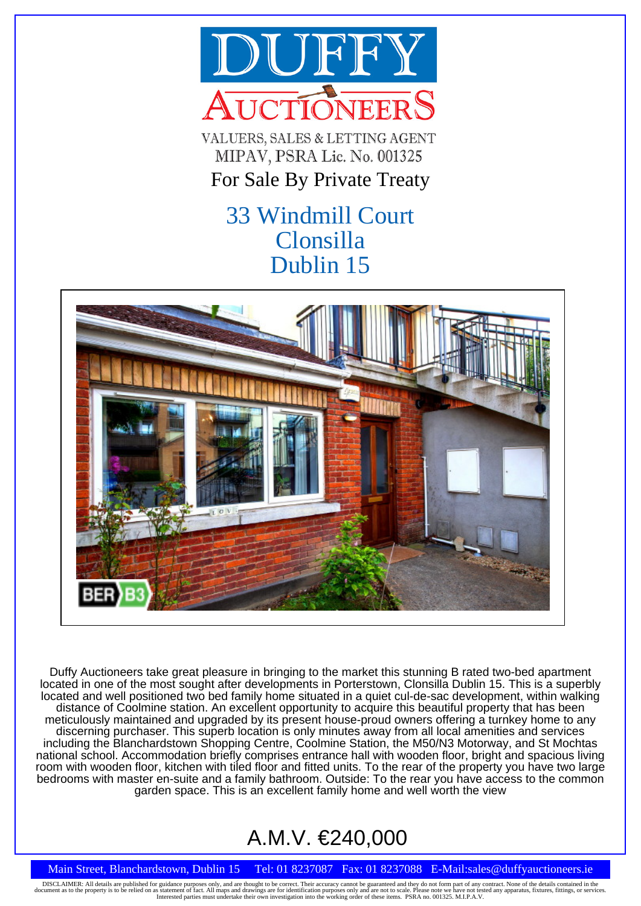

VALUERS, SALES & LETTING AGENT MIPAV, PSRA Lic. No. 001325

# For Sale By Private Treaty

# 33 Windmill Court Clonsilla Dublin 15



Duffy Auctioneers take great pleasure in bringing to the market this stunning B rated two-bed apartment located in one of the most sought after developments in Porterstown, Clonsilla Dublin 15. This is a superbly located and well positioned two bed family home situated in a quiet cul-de-sac development, within walking distance of Coolmine station. An excellent opportunity to acquire this beautiful property that has been meticulously maintained and upgraded by its present house-proud owners offering a turnkey home to any discerning purchaser. This superb location is only minutes away from all local amenities and services including the Blanchardstown Shopping Centre, Coolmine Station, the M50/N3 Motorway, and St Mochtas national school. Accommodation briefly comprises entrance hall with wooden floor, bright and spacious living room with wooden floor, kitchen with tiled floor and fitted units. To the rear of the property you have two large bedrooms with master en-suite and a family bathroom. Outside: To the rear you have access to the common garden space. This is an excellent family home and well worth the view

# A.M.V. €240,000

## Main Street, Blanchardstown, Dublin 15 Tel: 01 8237087 Fax: 01 8237088 E-Mail:sales@duffyauctioneers.ie

DISCLAIMER: All details are published for guidance purposes only, and are thought to be correct. Their accuracy cannot be guaranteed and they do not form part of any contract. None of the details contained in the decument investigation into the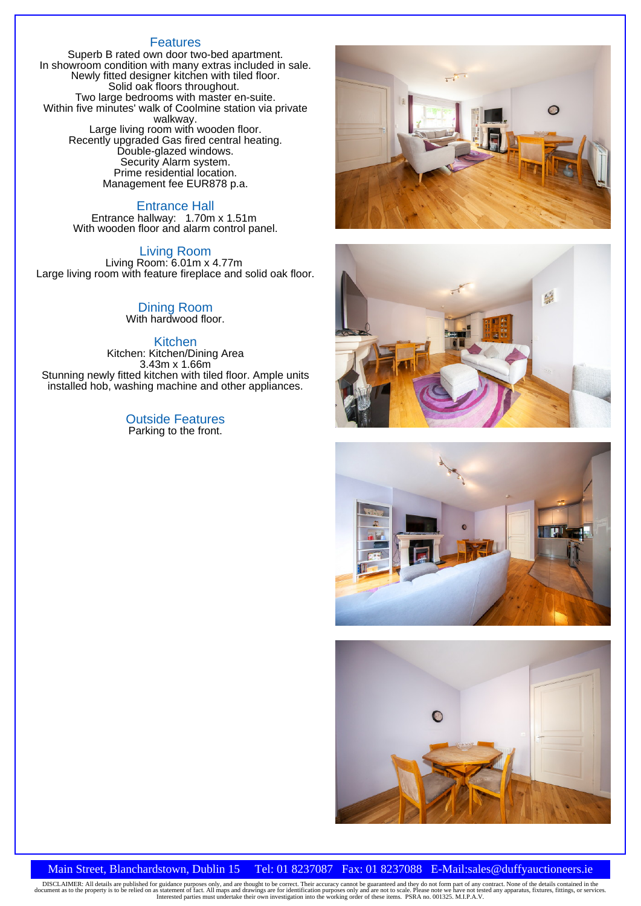## Features

Superb B rated own door two-bed apartment. In showroom condition with many extras included in sale. Newly fitted designer kitchen with tiled floor. Solid oak floors throughout. Two large bedrooms with master en-suite. Within five minutes' walk of Coolmine station via private walkway. Large living room with wooden floor. Recently upgraded Gas fired central heating. Double-glazed windows. Security Alarm system. Prime residential location. Management fee EUR878 p.a.

#### Entrance Hall

Entrance hallway: 1.70m x 1.51m With wooden floor and alarm control panel.

#### Living Room

Living Room: 6.01m x 4.77m Large living room with feature fireplace and solid oak floor.

> Dining Room With hardwood floor.

#### Kitchen

Kitchen: Kitchen/Dining Area 3.43m x 1.66m Stunning newly fitted kitchen with tiled floor. Ample units installed hob, washing machine and other appliances.

> Outside Features Parking to the front.









### Main Street, Blanchardstown, Dublin 15 Tel: 01 8237087 Fax: 01 8237088 E-Mail:sales@duffyauctioneers.ie

DISCLAIMER: All details are published for guidance purposes only, and are thought to be correct. Their accuracy cannot be guaranteed and they do not form part of any contract. None of the details contained in the document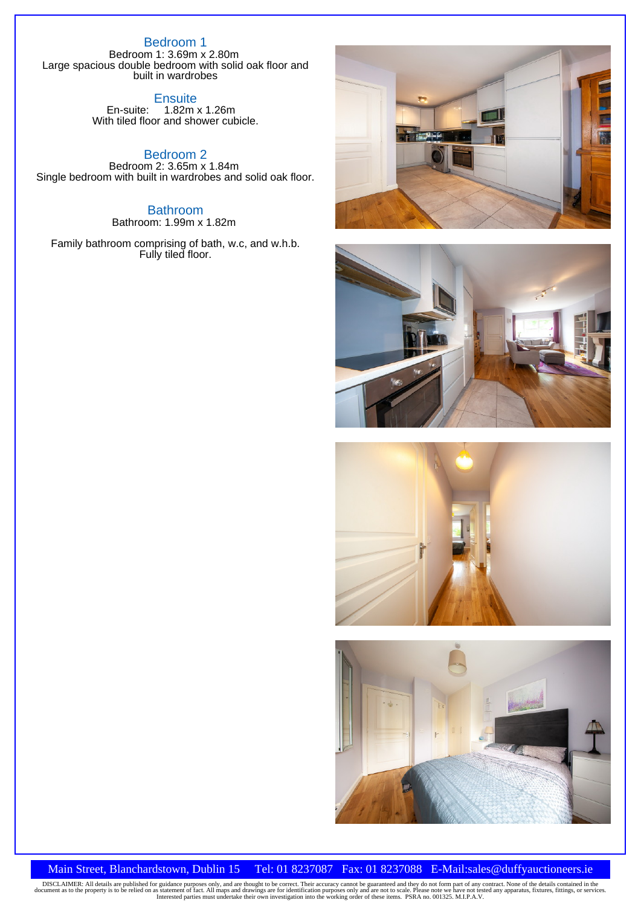## Bedroom 1

Bedroom 1: 3.69m x 2.80m Large spacious double bedroom with solid oak floor and built in wardrobes

**Ensuite** 

En-suite: 1.82m x 1.26m With tiled floor and shower cubicle.

Bedroom 2 Bedroom 2: 3.65m x 1.84m Single bedroom with built in wardrobes and solid oak floor.

> **Bathroom** Bathroom: 1.99m x 1.82m

Family bathroom comprising of bath, w.c, and w.h.b. Fully tiled floor.









## Main Street, Blanchardstown, Dublin 15 Tel: 01 8237087 Fax: 01 8237088 E-Mail:sales@duffyauctioneers.ie

DISCLAIMER: All details are published for guidance purposes only, and are thought to be correct. Their accuracy cannot be guaranteed and they do not form part of any contract. None of the details contained in the document